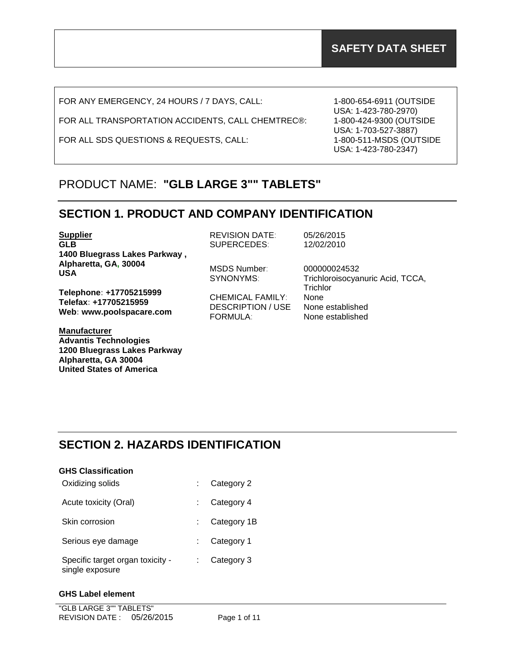FOR ANY EMERGENCY, 24 HOURS / 7 DAYS, CALL:

FOR ALL TRANSPORTATION ACCIDENTS, CALL CHEMTREC®:

FOR ALL SDS QUESTIONS & REQUESTS, CALL:

1-800-654-6911 (OUTSIDE USA: 1-423-780-2970) 1-800-424-9300 (OUTSIDE USA: 1-703-527-3887) 1-800-511-MSDS (OUTSIDE USA: 1-423-780-2347)

# PRODUCT NAME: **"GLB LARGE 3"" TABLETS"**

## **SECTION 1. PRODUCT AND COMPANY IDENTIFICATION**

| <b>Supplier</b>                                                              | <b>REVISION DATE:</b>                                           | 05/26/2015                                               |
|------------------------------------------------------------------------------|-----------------------------------------------------------------|----------------------------------------------------------|
| <b>GLB</b>                                                                   | SUPERCEDES:                                                     | 12/02/2010                                               |
| 1400 Bluegrass Lakes Parkway,                                                |                                                                 |                                                          |
| Alpharetta, GA, 30004<br><b>USA</b>                                          | MSDS Number:<br>SYNONYMS:                                       | 000000024532<br>Trichloroisocyanuric Acid, TCCA,         |
| Telephone: +17705215999<br>Telefax: +17705215959<br>Web: www.poolspacare.com | <b>CHEMICAL FAMILY:</b><br><b>DESCRIPTION / USE</b><br>FORMULA: | Trichlor<br>None<br>None established<br>None established |
| <b>Manufacturer</b>                                                          |                                                                 |                                                          |

# **SECTION 2. HAZARDS IDENTIFICATION**

| <b>GHS Classification</b>                           |             |
|-----------------------------------------------------|-------------|
| Oxidizing solids                                    | Category 2  |
| Acute toxicity (Oral)                               | Category 4  |
| Skin corrosion                                      | Category 1B |
| Serious eye damage                                  | Category 1  |
| Specific target organ toxicity -<br>single exposure | Category 3  |

## **GHS Label element**

**Advantis Technologies**

**Alpharetta, GA 30004 United States of America**

**1200 Bluegrass Lakes Parkway**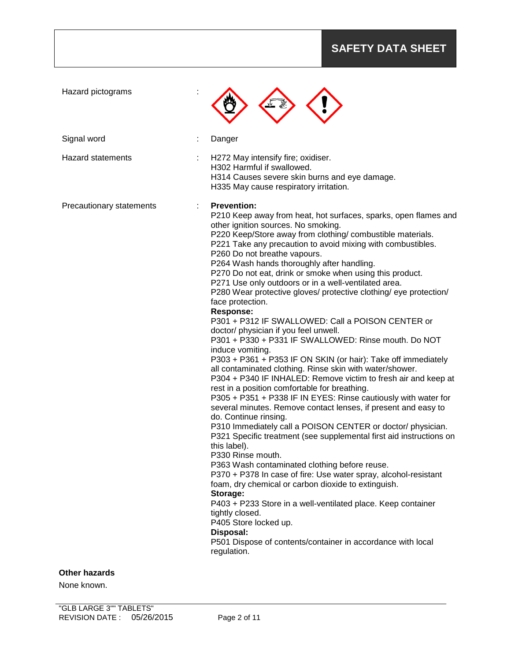| Hazard pictograms        |                                                                                                                                                                                                                                                                                                                                                                                                                                                                                                                                                                                                                                                                                                                                                                                                                                                                                                                                                                                                                                                                                                                                                                                                                                                                                                                                                                                                                                                                                                                                                                                                                                                                                                                                          |
|--------------------------|------------------------------------------------------------------------------------------------------------------------------------------------------------------------------------------------------------------------------------------------------------------------------------------------------------------------------------------------------------------------------------------------------------------------------------------------------------------------------------------------------------------------------------------------------------------------------------------------------------------------------------------------------------------------------------------------------------------------------------------------------------------------------------------------------------------------------------------------------------------------------------------------------------------------------------------------------------------------------------------------------------------------------------------------------------------------------------------------------------------------------------------------------------------------------------------------------------------------------------------------------------------------------------------------------------------------------------------------------------------------------------------------------------------------------------------------------------------------------------------------------------------------------------------------------------------------------------------------------------------------------------------------------------------------------------------------------------------------------------------|
| Signal word              | Danger                                                                                                                                                                                                                                                                                                                                                                                                                                                                                                                                                                                                                                                                                                                                                                                                                                                                                                                                                                                                                                                                                                                                                                                                                                                                                                                                                                                                                                                                                                                                                                                                                                                                                                                                   |
| <b>Hazard statements</b> | H272 May intensify fire; oxidiser.<br>H302 Harmful if swallowed.<br>H314 Causes severe skin burns and eye damage.<br>H335 May cause respiratory irritation.                                                                                                                                                                                                                                                                                                                                                                                                                                                                                                                                                                                                                                                                                                                                                                                                                                                                                                                                                                                                                                                                                                                                                                                                                                                                                                                                                                                                                                                                                                                                                                              |
| Precautionary statements | <b>Prevention:</b><br>P210 Keep away from heat, hot surfaces, sparks, open flames and<br>other ignition sources. No smoking.<br>P220 Keep/Store away from clothing/ combustible materials.<br>P221 Take any precaution to avoid mixing with combustibles.<br>P260 Do not breathe vapours.<br>P264 Wash hands thoroughly after handling.<br>P270 Do not eat, drink or smoke when using this product.<br>P271 Use only outdoors or in a well-ventilated area.<br>P280 Wear protective gloves/ protective clothing/ eye protection/<br>face protection.<br><b>Response:</b><br>P301 + P312 IF SWALLOWED: Call a POISON CENTER or<br>doctor/ physician if you feel unwell.<br>P301 + P330 + P331 IF SWALLOWED: Rinse mouth. Do NOT<br>induce vomiting.<br>P303 + P361 + P353 IF ON SKIN (or hair): Take off immediately<br>all contaminated clothing. Rinse skin with water/shower.<br>P304 + P340 IF INHALED: Remove victim to fresh air and keep at<br>rest in a position comfortable for breathing.<br>P305 + P351 + P338 IF IN EYES: Rinse cautiously with water for<br>several minutes. Remove contact lenses, if present and easy to<br>do. Continue rinsing.<br>P310 Immediately call a POISON CENTER or doctor/ physician.<br>P321 Specific treatment (see supplemental first aid instructions on<br>this label).<br>P330 Rinse mouth.<br>P363 Wash contaminated clothing before reuse.<br>P370 + P378 In case of fire: Use water spray, alcohol-resistant<br>foam, dry chemical or carbon dioxide to extinguish.<br>Storage:<br>P403 + P233 Store in a well-ventilated place. Keep container<br>tightly closed.<br>P405 Store locked up.<br>Disposal:<br>P501 Dispose of contents/container in accordance with local<br>regulation. |
| <b>Other hazards</b>     |                                                                                                                                                                                                                                                                                                                                                                                                                                                                                                                                                                                                                                                                                                                                                                                                                                                                                                                                                                                                                                                                                                                                                                                                                                                                                                                                                                                                                                                                                                                                                                                                                                                                                                                                          |

None known.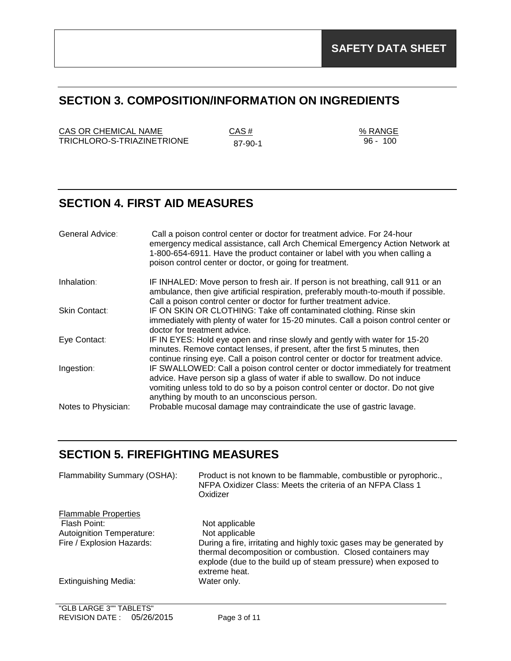## **SECTION 3. COMPOSITION/INFORMATION ON INGREDIENTS**

 $CAS OR CHEMICAL NAME$   $CAS #$   $% RANGE$ TRICHLORO-S-TRIAZINETRIONE 87-90-1

96 - 100

# **SECTION 4. FIRST AID MEASURES**

| General Advice:     | Call a poison control center or doctor for treatment advice. For 24-hour<br>emergency medical assistance, call Arch Chemical Emergency Action Network at<br>1-800-654-6911. Have the product container or label with you when calling a<br>poison control center or doctor, or going for treatment. |
|---------------------|-----------------------------------------------------------------------------------------------------------------------------------------------------------------------------------------------------------------------------------------------------------------------------------------------------|
| Inhalation:         | IF INHALED: Move person to fresh air. If person is not breathing, call 911 or an<br>ambulance, then give artificial respiration, preferably mouth-to-mouth if possible.                                                                                                                             |
| Skin Contact:       | Call a poison control center or doctor for further treatment advice.<br>IF ON SKIN OR CLOTHING: Take off contaminated clothing. Rinse skin<br>immediately with plenty of water for 15-20 minutes. Call a poison control center or<br>doctor for treatment advice.                                   |
| Eye Contact:        | IF IN EYES: Hold eye open and rinse slowly and gently with water for 15-20<br>minutes. Remove contact lenses, if present, after the first 5 minutes, then<br>continue rinsing eye. Call a poison control center or doctor for treatment advice.                                                     |
| Ingestion:          | IF SWALLOWED: Call a poison control center or doctor immediately for treatment<br>advice. Have person sip a glass of water if able to swallow. Do not induce<br>vomiting unless told to do so by a poison control center or doctor. Do not give<br>anything by mouth to an unconscious person.      |
| Notes to Physician: | Probable mucosal damage may contraindicate the use of gastric lavage.                                                                                                                                                                                                                               |

## **SECTION 5. FIREFIGHTING MEASURES**

| Flammability Summary (OSHA):                | Product is not known to be flammable, combustible or pyrophoric.,<br>NFPA Oxidizer Class: Meets the criteria of an NFPA Class 1<br>Oxidizer                                                                            |
|---------------------------------------------|------------------------------------------------------------------------------------------------------------------------------------------------------------------------------------------------------------------------|
| <b>Flammable Properties</b><br>Flash Point: | Not applicable                                                                                                                                                                                                         |
| Autoignition Temperature:                   | Not applicable                                                                                                                                                                                                         |
| Fire / Explosion Hazards:                   | During a fire, irritating and highly toxic gases may be generated by<br>thermal decomposition or combustion. Closed containers may<br>explode (due to the build up of steam pressure) when exposed to<br>extreme heat. |
| <b>Extinguishing Media:</b>                 | Water only.                                                                                                                                                                                                            |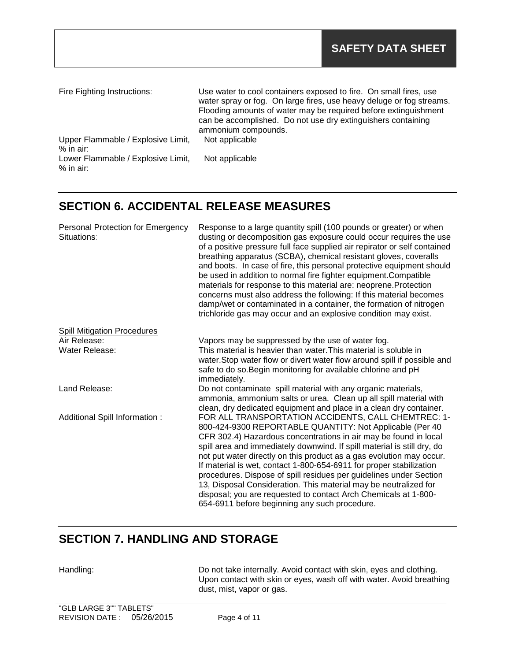| Fire Fighting Instructions:        | Use water to cool containers exposed to fire. On small fires, use<br>water spray or fog. On large fires, use heavy deluge or fog streams.<br>Flooding amounts of water may be required before extinguishment<br>can be accomplished. Do not use dry extinguishers containing<br>ammonium compounds. |
|------------------------------------|-----------------------------------------------------------------------------------------------------------------------------------------------------------------------------------------------------------------------------------------------------------------------------------------------------|
| Upper Flammable / Explosive Limit, | Not applicable                                                                                                                                                                                                                                                                                      |
| % in air:                          |                                                                                                                                                                                                                                                                                                     |
| Lower Flammable / Explosive Limit, | Not applicable                                                                                                                                                                                                                                                                                      |
| $%$ in air:                        |                                                                                                                                                                                                                                                                                                     |

## **SECTION 6. ACCIDENTAL RELEASE MEASURES**

| Personal Protection for Emergency<br>Situations: | Response to a large quantity spill (100 pounds or greater) or when<br>dusting or decomposition gas exposure could occur requires the use<br>of a positive pressure full face supplied air repirator or self contained<br>breathing apparatus (SCBA), chemical resistant gloves, coveralls<br>and boots. In case of fire, this personal protective equipment should<br>be used in addition to normal fire fighter equipment. Compatible<br>materials for response to this material are: neoprene. Protection<br>concerns must also address the following: If this material becomes<br>damp/wet or contaminated in a container, the formation of nitrogen<br>trichloride gas may occur and an explosive condition may exist. |
|--------------------------------------------------|----------------------------------------------------------------------------------------------------------------------------------------------------------------------------------------------------------------------------------------------------------------------------------------------------------------------------------------------------------------------------------------------------------------------------------------------------------------------------------------------------------------------------------------------------------------------------------------------------------------------------------------------------------------------------------------------------------------------------|
| <b>Spill Mitigation Procedures</b>               |                                                                                                                                                                                                                                                                                                                                                                                                                                                                                                                                                                                                                                                                                                                            |
| Air Release:                                     | Vapors may be suppressed by the use of water fog.                                                                                                                                                                                                                                                                                                                                                                                                                                                                                                                                                                                                                                                                          |
| Water Release:                                   | This material is heavier than water. This material is soluble in<br>water. Stop water flow or divert water flow around spill if possible and<br>safe to do so. Begin monitoring for available chlorine and pH<br>immediately.                                                                                                                                                                                                                                                                                                                                                                                                                                                                                              |
| Land Release:                                    | Do not contaminate spill material with any organic materials,<br>ammonia, ammonium salts or urea. Clean up all spill material with<br>clean, dry dedicated equipment and place in a clean dry container.                                                                                                                                                                                                                                                                                                                                                                                                                                                                                                                   |
| Additional Spill Information :                   | FOR ALL TRANSPORTATION ACCIDENTS, CALL CHEMTREC: 1-<br>800-424-9300 REPORTABLE QUANTITY: Not Applicable (Per 40<br>CFR 302.4) Hazardous concentrations in air may be found in local<br>spill area and immediately downwind. If spill material is still dry, do<br>not put water directly on this product as a gas evolution may occur.<br>If material is wet, contact 1-800-654-6911 for proper stabilization<br>procedures. Dispose of spill residues per guidelines under Section<br>13, Disposal Consideration. This material may be neutralized for<br>disposal; you are requested to contact Arch Chemicals at 1-800-<br>654-6911 before beginning any such procedure.                                                |

# **SECTION 7. HANDLING AND STORAGE**

Handling: Handling: Do not take internally. Avoid contact with skin, eyes and clothing. Upon contact with skin or eyes, wash off with water. Avoid breathing dust, mist, vapor or gas.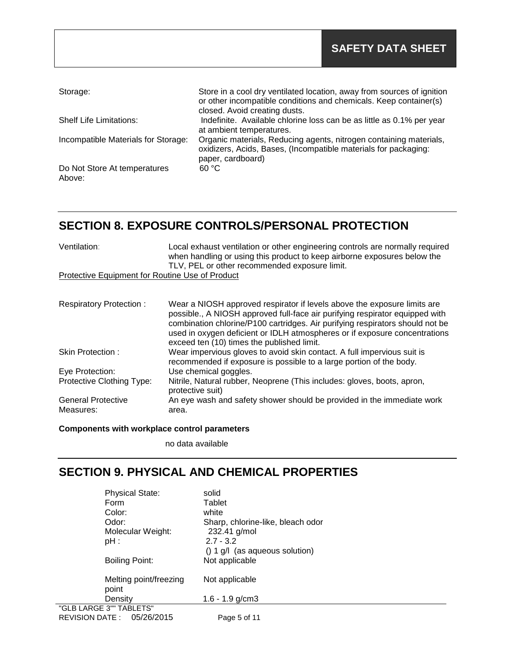| Storage:                               | Store in a cool dry ventilated location, away from sources of ignition<br>or other incompatible conditions and chemicals. Keep container(s)<br>closed. Avoid creating dusts. |
|----------------------------------------|------------------------------------------------------------------------------------------------------------------------------------------------------------------------------|
| <b>Shelf Life Limitations:</b>         | Indefinite. Available chlorine loss can be as little as 0.1% per year<br>at ambient temperatures.                                                                            |
| Incompatible Materials for Storage:    | Organic materials, Reducing agents, nitrogen containing materials,<br>oxidizers, Acids, Bases, (Incompatible materials for packaging:<br>paper, cardboard)                   |
| Do Not Store At temperatures<br>Above: | 60 °C                                                                                                                                                                        |

## **SECTION 8. EXPOSURE CONTROLS/PERSONAL PROTECTION**

| Ventilation:                                    | Local exhaust ventilation or other engineering controls are normally required<br>when handling or using this product to keep airborne exposures below the<br>TLV, PEL or other recommended exposure limit.                                                                                                                                                            |
|-------------------------------------------------|-----------------------------------------------------------------------------------------------------------------------------------------------------------------------------------------------------------------------------------------------------------------------------------------------------------------------------------------------------------------------|
| Protective Equipment for Routine Use of Product |                                                                                                                                                                                                                                                                                                                                                                       |
|                                                 |                                                                                                                                                                                                                                                                                                                                                                       |
| <b>Respiratory Protection:</b>                  | Wear a NIOSH approved respirator if levels above the exposure limits are<br>possible., A NIOSH approved full-face air purifying respirator equipped with<br>combination chlorine/P100 cartridges. Air purifying respirators should not be<br>used in oxygen deficient or IDLH atmospheres or if exposure concentrations<br>exceed ten (10) times the published limit. |
| Skin Protection:                                | Wear impervious gloves to avoid skin contact. A full impervious suit is<br>recommended if exposure is possible to a large portion of the body.                                                                                                                                                                                                                        |
| Eye Protection:                                 | Use chemical goggles.                                                                                                                                                                                                                                                                                                                                                 |
| Protective Clothing Type:                       | Nitrile, Natural rubber, Neoprene (This includes: gloves, boots, apron,<br>protective suit)                                                                                                                                                                                                                                                                           |
| <b>General Protective</b>                       | An eye wash and safety shower should be provided in the immediate work                                                                                                                                                                                                                                                                                                |
| Measures:                                       | area.                                                                                                                                                                                                                                                                                                                                                                 |

### **Components with workplace control parameters**

no data available

# **SECTION 9. PHYSICAL AND CHEMICAL PROPERTIES**

| <b>Physical State:</b>              | solid                             |
|-------------------------------------|-----------------------------------|
| Form                                | Tablet                            |
| Color:                              | white                             |
| Odor:                               | Sharp, chlorine-like, bleach odor |
| Molecular Weight:                   | 232.41 g/mol                      |
| $pH$ :                              | $2.7 - 3.2$                       |
|                                     | $() 1 g/l$ (as aqueous solution)  |
| <b>Boiling Point:</b>               | Not applicable                    |
| Melting point/freezing<br>point     | Not applicable                    |
| Density                             | 1.6 - 1.9 $g/cm3$                 |
| "GLB LARGE 3"" TABLETS"             |                                   |
| 05/26/2015<br><b>REVISION DATE:</b> | Page 5 of 11                      |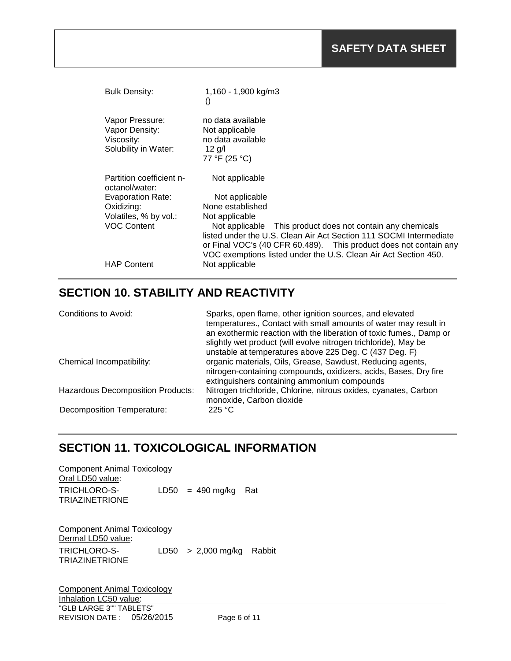| <b>Bulk Density:</b>                                                    | 1,160 - 1,900 kg/m3<br>$\left( \right)$                                                                                                                                                                                                                                  |
|-------------------------------------------------------------------------|--------------------------------------------------------------------------------------------------------------------------------------------------------------------------------------------------------------------------------------------------------------------------|
| Vapor Pressure:<br>Vapor Density:<br>Viscosity:<br>Solubility in Water: | no data available<br>Not applicable<br>no data available<br>$12$ g/l<br>77 °F (25 °C)                                                                                                                                                                                    |
| Partition coefficient n-<br>octanol/water:                              | Not applicable                                                                                                                                                                                                                                                           |
| <b>Evaporation Rate:</b>                                                | Not applicable                                                                                                                                                                                                                                                           |
| Oxidizing:                                                              | None established                                                                                                                                                                                                                                                         |
| Volatiles, % by vol.:                                                   | Not applicable                                                                                                                                                                                                                                                           |
| <b>VOC Content</b>                                                      | Not applicable This product does not contain any chemicals<br>listed under the U.S. Clean Air Act Section 111 SOCMI Intermediate<br>or Final VOC's (40 CFR 60.489). This product does not contain any<br>VOC exemptions listed under the U.S. Clean Air Act Section 450. |
| <b>HAP Content</b>                                                      | Not applicable                                                                                                                                                                                                                                                           |

# **SECTION 10. STABILITY AND REACTIVITY**

| Conditions to Avoid:              | Sparks, open flame, other ignition sources, and elevated<br>temperatures., Contact with small amounts of water may result in<br>an exothermic reaction with the liberation of toxic fumes., Damp or<br>slightly wet product (will evolve nitrogen trichloride), May be |
|-----------------------------------|------------------------------------------------------------------------------------------------------------------------------------------------------------------------------------------------------------------------------------------------------------------------|
| Chemical Incompatibility:         | unstable at temperatures above 225 Deg. C (437 Deg. F)<br>organic materials, Oils, Grease, Sawdust, Reducing agents,<br>nitrogen-containing compounds, oxidizers, acids, Bases, Dry fire<br>extinguishers containing ammonium compounds                                |
| Hazardous Decomposition Products: | Nitrogen trichloride, Chlorine, nitrous oxides, cyanates, Carbon<br>monoxide, Carbon dioxide                                                                                                                                                                           |
| <b>Decomposition Temperature:</b> | 225 °C                                                                                                                                                                                                                                                                 |

## **SECTION 11. TOXICOLOGICAL INFORMATION**

| <b>Component Animal Toxicology</b> |  |                        |  |  |
|------------------------------------|--|------------------------|--|--|
| Oral LD50 value:                   |  |                        |  |  |
| TRICHLORO-S-<br>TRIAZINETRIONE     |  | $LD50 = 490$ mg/kg Rat |  |  |

Component Animal Toxicology Dermal LD50 value: TRICHLORO-S-LD50 > 2,000 mg/kg Rabbit TRIAZINETRIONE

"GLB LARGE 3"" TABLETS" REVISION DATE : 05/26/2015 Page 6 of 11 Component Animal Toxicology Inhalation LC50 value: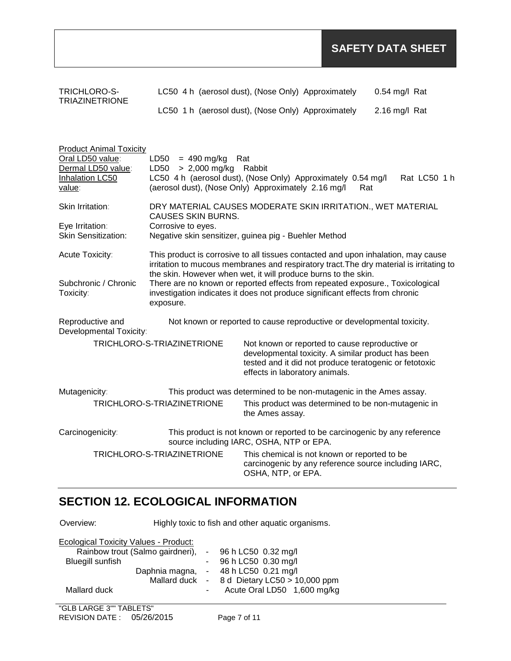| TRICHLORO-S-<br><b>TRIAZINETRIONE</b>                                                                 | LC50 4 h (aerosol dust), (Nose Only) Approximately                                                                                                                                                                                                                                                                                                                                                                           |                                |                                                                                                                                                                | $0.54$ mg/l Rat                                      |  |
|-------------------------------------------------------------------------------------------------------|------------------------------------------------------------------------------------------------------------------------------------------------------------------------------------------------------------------------------------------------------------------------------------------------------------------------------------------------------------------------------------------------------------------------------|--------------------------------|----------------------------------------------------------------------------------------------------------------------------------------------------------------|------------------------------------------------------|--|
|                                                                                                       | LC50 1 h (aerosol dust), (Nose Only) Approximately                                                                                                                                                                                                                                                                                                                                                                           |                                |                                                                                                                                                                | 2.16 mg/l Rat                                        |  |
| <b>Product Animal Toxicity</b><br>Oral LD50 value:<br>Dermal LD50 value:<br>Inhalation LC50<br>value: | LD50<br>$= 490$ mg/kg<br>$> 2,000$ mg/kg<br>LD50<br>LC50 4 h (aerosol dust), (Nose Only) Approximately 0.54 mg/l<br>(aerosol dust), (Nose Only) Approximately 2.16 mg/l                                                                                                                                                                                                                                                      | Rat<br>Rabbit                  | Rat                                                                                                                                                            | Rat LC50 1 h                                         |  |
| Skin Irritation:                                                                                      | DRY MATERIAL CAUSES MODERATE SKIN IRRITATION., WET MATERIAL                                                                                                                                                                                                                                                                                                                                                                  |                                |                                                                                                                                                                |                                                      |  |
| Eye Irritation:<br><b>Skin Sensitization:</b>                                                         | <b>CAUSES SKIN BURNS.</b><br>Corrosive to eyes.<br>Negative skin sensitizer, guinea pig - Buehler Method                                                                                                                                                                                                                                                                                                                     |                                |                                                                                                                                                                |                                                      |  |
| Acute Toxicity:<br>Subchronic / Chronic<br>Toxicity:                                                  | This product is corrosive to all tissues contacted and upon inhalation, may cause<br>irritation to mucous membranes and respiratory tract. The dry material is irritating to<br>the skin. However when wet, it will produce burns to the skin.<br>There are no known or reported effects from repeated exposure., Toxicological<br>investigation indicates it does not produce significant effects from chronic<br>exposure. |                                |                                                                                                                                                                |                                                      |  |
| Reproductive and<br>Developmental Toxicity:                                                           | Not known or reported to cause reproductive or developmental toxicity.                                                                                                                                                                                                                                                                                                                                                       |                                |                                                                                                                                                                |                                                      |  |
|                                                                                                       | TRICHLORO-S-TRIAZINETRIONE                                                                                                                                                                                                                                                                                                                                                                                                   | effects in laboratory animals. | Not known or reported to cause reproductive or<br>developmental toxicity. A similar product has been<br>tested and it did not produce teratogenic or fetotoxic |                                                      |  |
| Mutagenicity:                                                                                         | This product was determined to be non-mutagenic in the Ames assay.                                                                                                                                                                                                                                                                                                                                                           |                                |                                                                                                                                                                |                                                      |  |
|                                                                                                       | TRICHLORO-S-TRIAZINETRIONE                                                                                                                                                                                                                                                                                                                                                                                                   | the Ames assay.                | This product was determined to be non-mutagenic in                                                                                                             |                                                      |  |
| Carcinogenicity:                                                                                      | This product is not known or reported to be carcinogenic by any reference<br>source including IARC, OSHA, NTP or EPA.                                                                                                                                                                                                                                                                                                        |                                |                                                                                                                                                                |                                                      |  |
|                                                                                                       | TRICHLORO-S-TRIAZINETRIONE                                                                                                                                                                                                                                                                                                                                                                                                   | OSHA, NTP, or EPA.             | This chemical is not known or reported to be                                                                                                                   | carcinogenic by any reference source including IARC, |  |

# **SECTION 12. ECOLOGICAL INFORMATION**

Overview: Highly toxic to fish and other aquatic organisms.

| Ecological Toxicity Values - Product:                  |            |                                              |
|--------------------------------------------------------|------------|----------------------------------------------|
| Rainbow trout (Salmo gairdneri), - 96 h LC50 0.32 mg/l |            |                                              |
| <b>Bluegill sunfish</b>                                |            | - 96 h LC50 0.30 mg/l                        |
|                                                        |            | Daphnia magna, - 48 h LC50 0.21 mg/l         |
|                                                        |            | Mallard duck - 8 d Dietary LC50 > 10,000 ppm |
| Mallard duck                                           | $\sim 100$ | Acute Oral LD50 1,600 mg/kg                  |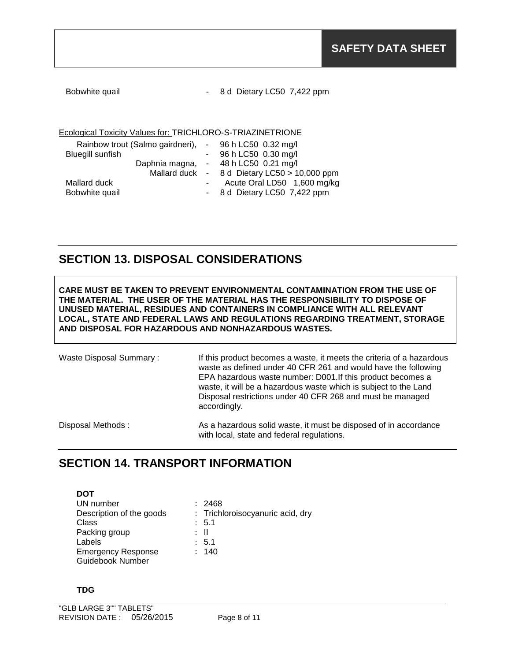| Bobwhite quail |
|----------------|
|----------------|

8 d Dietary LC50 7,422 ppm

### Ecological Toxicity Values for: TRICHLORO-S-TRIAZINETRIONE

| Rainbow trout (Salmo gairdneri), | $-$ 96 h LC50 0.32 mg/l                      |
|----------------------------------|----------------------------------------------|
| <b>Bluegill sunfish</b>          | - 96 h LC50 0.30 mg/l                        |
|                                  | Daphnia magna, - 48 h LC50 0.21 mg/l         |
|                                  | Mallard duck - 8 d Dietary LC50 > 10,000 ppm |
| Mallard duck                     | Acute Oral LD50 1,600 mg/kg                  |
| Bobwhite quail                   | - 8 d Dietary LC50 7,422 ppm                 |

## **SECTION 13. DISPOSAL CONSIDERATIONS**

**CARE MUST BE TAKEN TO PREVENT ENVIRONMENTAL CONTAMINATION FROM THE USE OF THE MATERIAL. THE USER OF THE MATERIAL HAS THE RESPONSIBILITY TO DISPOSE OF UNUSED MATERIAL, RESIDUES AND CONTAINERS IN COMPLIANCE WITH ALL RELEVANT LOCAL, STATE AND FEDERAL LAWS AND REGULATIONS REGARDING TREATMENT, STORAGE AND DISPOSAL FOR HAZARDOUS AND NONHAZARDOUS WASTES.** 

Waste Disposal Summary : If this product becomes a waste, it meets the criteria of a hazardous waste as defined under 40 CFR 261 and would have the following EPA hazardous waste number: D001.If this product becomes a waste, it will be a hazardous waste which is subject to the Land Disposal restrictions under 40 CFR 268 and must be managed accordingly.

Disposal Methods : As a hazardous solid waste, it must be disposed of in accordance with local, state and federal regulations.

## **SECTION 14. TRANSPORT INFORMATION**

**DOT** UN number : 2468<br>Description of the goods : Trichl Class : 5.1<br>Packing group : 11 Packing group Labels : 5.1 Emergency Response Guidebook Number

: Trichloroisocyanuric acid, dry : 140

### **TDG**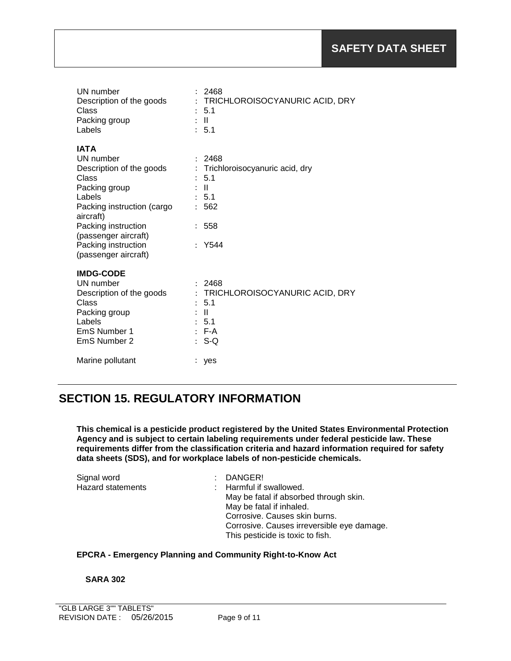| UN number<br>Description of the goods<br>Class<br>Packing group<br>Labels                                                                                  | 2468<br>TRICHLOROISOCYANURIC ACID, DRY<br>÷<br>5.1<br>-II<br>÷<br>5.1<br>$\bullet$                                                            |
|------------------------------------------------------------------------------------------------------------------------------------------------------------|-----------------------------------------------------------------------------------------------------------------------------------------------|
| <b>IATA</b><br>UN number<br>Description of the goods<br>Class<br>Packing group<br>Labels<br>Packing instruction (cargo<br>aircraft)<br>Packing instruction | : 2468<br>Trichloroisocyanuric acid, dry<br>$\vdots$<br>5.1<br>÷<br>$\mathbf{H}$<br>: 5.1<br>562<br>$\ddot{\phantom{0}}$<br>558               |
| (passenger aircraft)<br>Packing instruction<br>(passenger aircraft)                                                                                        | Y544                                                                                                                                          |
| <b>IMDG-CODE</b><br>UN number<br>Description of the goods<br>Class<br>Packing group<br>Labels<br>EmS Number 1<br>EmS Number 2                              | 2468<br>TRICHLOROISOCYANURIC ACID, DRY<br>$\ddot{\phantom{a}}$<br>5.1<br>$\mathbf{H}$<br>$\mathbb{R}^{\mathbb{Z}}$<br>: 5.1<br>$E - A$<br>S-Q |
| Marine pollutant                                                                                                                                           | yes                                                                                                                                           |

# **SECTION 15. REGULATORY INFORMATION**

**This chemical is a pesticide product registered by the United States Environmental Protection Agency and is subject to certain labeling requirements under federal pesticide law. These requirements differ from the classification criteria and hazard information required for safety data sheets (SDS), and for workplace labels of non-pesticide chemicals.**

| Signal word              | $:$ DANGER!                                |
|--------------------------|--------------------------------------------|
| <b>Hazard statements</b> | : Harmful if swallowed.                    |
|                          | May be fatal if absorbed through skin.     |
|                          | May be fatal if inhaled.                   |
|                          | Corrosive. Causes skin burns.              |
|                          | Corrosive. Causes irreversible eye damage. |
|                          | This pesticide is toxic to fish.           |

## **EPCRA - Emergency Planning and Community Right-to-Know Act**

### **SARA 302**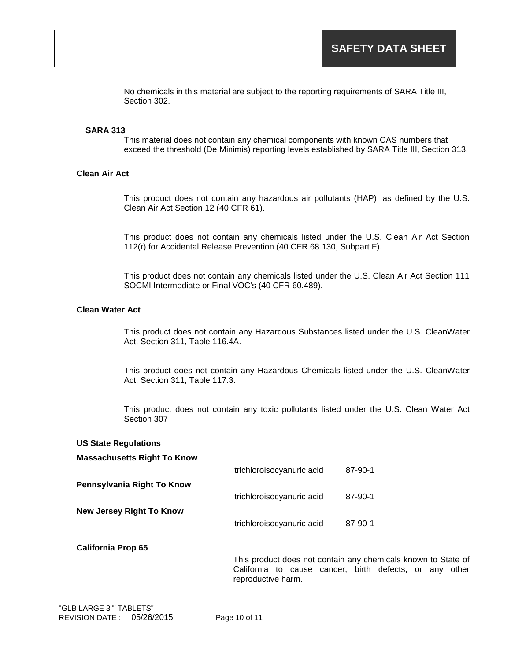No chemicals in this material are subject to the reporting requirements of SARA Title III, Section 302.

### **SARA 313**

This material does not contain any chemical components with known CAS numbers that exceed the threshold (De Minimis) reporting levels established by SARA Title III, Section 313.

### **Clean Air Act**

This product does not contain any hazardous air pollutants (HAP), as defined by the U.S. Clean Air Act Section 12 (40 CFR 61).

This product does not contain any chemicals listed under the U.S. Clean Air Act Section 112(r) for Accidental Release Prevention (40 CFR 68.130, Subpart F).

This product does not contain any chemicals listed under the U.S. Clean Air Act Section 111 SOCMI Intermediate or Final VOC's (40 CFR 60.489).

### **Clean Water Act**

This product does not contain any Hazardous Substances listed under the U.S. CleanWater Act, Section 311, Table 116.4A.

This product does not contain any Hazardous Chemicals listed under the U.S. CleanWater Act, Section 311, Table 117.3.

This product does not contain any toxic pollutants listed under the U.S. Clean Water Act Section 307

#### **US State Regulations**

#### **Massachusetts Right To Know**

|                                 | trichloroisocyanuric acid | 87-90-1 |
|---------------------------------|---------------------------|---------|
| Pennsylvania Right To Know      |                           |         |
|                                 | trichloroisocyanuric acid | 87-90-1 |
| <b>New Jersey Right To Know</b> |                           |         |
|                                 | trichloroisocyanuric acid | 87-90-1 |

#### **California Prop 65**

This product does not contain any chemicals known to State of California to cause cancer, birth defects, or any other reproductive harm.